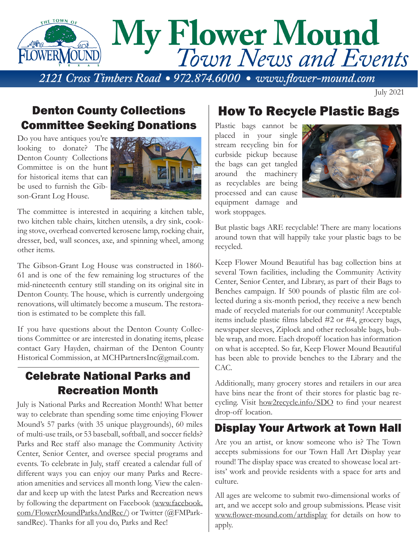

July 2021

## Denton County Collections Committee Seeking Donations

Do you have antiques you're looking to donate? The Denton County Collections Committee is on the hunt for historical items that can be used to furnish the Gibson-Grant Log House.



The committee is interested in acquiring a kitchen table, two kitchen table chairs, kitchen utensils, a dry sink, cooking stove, overhead converted kerosene lamp, rocking chair, dresser, bed, wall sconces, axe, and spinning wheel, among other items.

The Gibson-Grant Log House was constructed in 1860- 61 and is one of the few remaining log structures of the mid-nineteenth century still standing on its original site in Denton County. The house, which is currently undergoing renovations, will ultimately become a museum. The restoration is estimated to be complete this fall.

If you have questions about the Denton County Collections Committee or are interested in donating items, please contact Gary Hayden, chairman of the Denton County Historical Commission, at MCHPartnersInc@gmail.com.

## Celebrate National Parks and Recreation Month

July is National Parks and Recreation Month! What better way to celebrate than spending some time enjoying Flower Mound's 57 parks (with 35 unique playgrounds), 60 miles of multi-use trails, or 53 baseball, softball, and soccer fields? Parks and Rec staff also manage the Community Activity Center, Senior Center, and oversee special programs and events. To celebrate in July, staff created a calendar full of different ways you can enjoy our many Parks and Recreation amenities and services all month long. View the calendar and keep up with the latest Parks and Recreation news by following the department on Facebook (www.facebook. com/FlowerMoundParksAndRec/) or Twitter (@FMParksandRec). Thanks for all you do, Parks and Rec!

## How To Recycle Plastic Bags

Plastic bags cannot be placed in your single stream recycling bin for curbside pickup because the bags can get tangled around the machinery as recyclables are being processed and can cause equipment damage and work stoppages.



But plastic bags ARE recyclable! There are many locations around town that will happily take your plastic bags to be recycled.

Keep Flower Mound Beautiful has bag collection bins at several Town facilities, including the Community Activity Center, Senior Center, and Library, as part of their Bags to Benches campaign. If 500 pounds of plastic film are collected during a six-month period, they receive a new bench made of recycled materials for our community! Acceptable items include plastic films labeled #2 or #4, grocery bags, newspaper sleeves, Ziplock and other reclosable bags, bubble wrap, and more. Each dropoff location has information on what is accepted. So far, Keep Flower Mound Beautiful has been able to provide benches to the Library and the CAC.

Additionally, many grocery stores and retailers in our area have bins near the front of their stores for plastic bag recycling. Visit how2recycle.info/SDO to find your nearest drop-off location.

## Display Your Artwork at Town Hall

Are you an artist, or know someone who is? The Town accepts submissions for our Town Hall Art Display year round! The display space was created to showcase local artists' work and provide residents with a space for arts and culture.

All ages are welcome to submit two-dimensional works of art, and we accept solo and group submissions. Please visit www.flower-mound.com/artdisplay for details on how to apply.